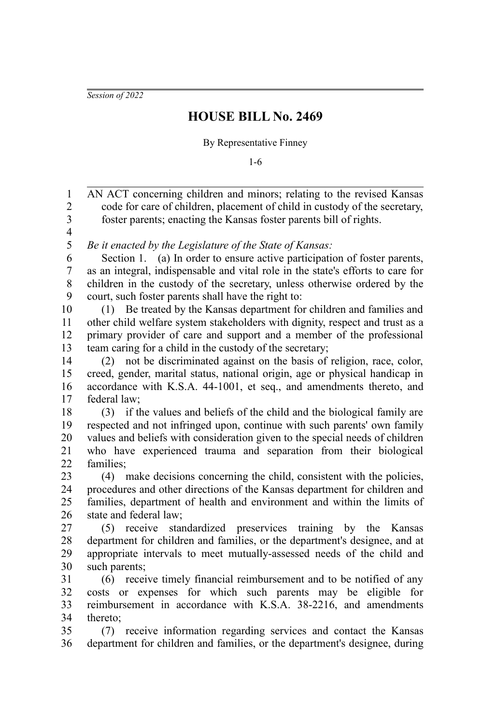*Session of 2022*

## **HOUSE BILL No. 2469**

By Representative Finney

1-6

AN ACT concerning children and minors; relating to the revised Kansas code for care of children, placement of child in custody of the secretary, foster parents; enacting the Kansas foster parents bill of rights. *Be it enacted by the Legislature of the State of Kansas:* Section 1. (a) In order to ensure active participation of foster parents, as an integral, indispensable and vital role in the state's efforts to care for children in the custody of the secretary, unless otherwise ordered by the court, such foster parents shall have the right to: (1) Be treated by the Kansas department for children and families and other child welfare system stakeholders with dignity, respect and trust as a primary provider of care and support and a member of the professional team caring for a child in the custody of the secretary; (2) not be discriminated against on the basis of religion, race, color, creed, gender, marital status, national origin, age or physical handicap in accordance with K.S.A. 44-1001, et seq., and amendments thereto, and federal law; (3) if the values and beliefs of the child and the biological family are respected and not infringed upon, continue with such parents' own family values and beliefs with consideration given to the special needs of children who have experienced trauma and separation from their biological families; (4) make decisions concerning the child, consistent with the policies, procedures and other directions of the Kansas department for children and families, department of health and environment and within the limits of state and federal law; (5) receive standardized preservices training by the Kansas department for children and families, or the department's designee, and at appropriate intervals to meet mutually-assessed needs of the child and such parents; (6) receive timely financial reimbursement and to be notified of any costs or expenses for which such parents may be eligible for reimbursement in accordance with K.S.A. 38-2216, and amendments thereto; (7) receive information regarding services and contact the Kansas department for children and families, or the department's designee, during 1 2 3 4 5 6 7 8 9 10 11 12 13 14 15 16 17 18 19 20 21 22 23 24 25 26 27 28 29 30 31 32 33 34 35 36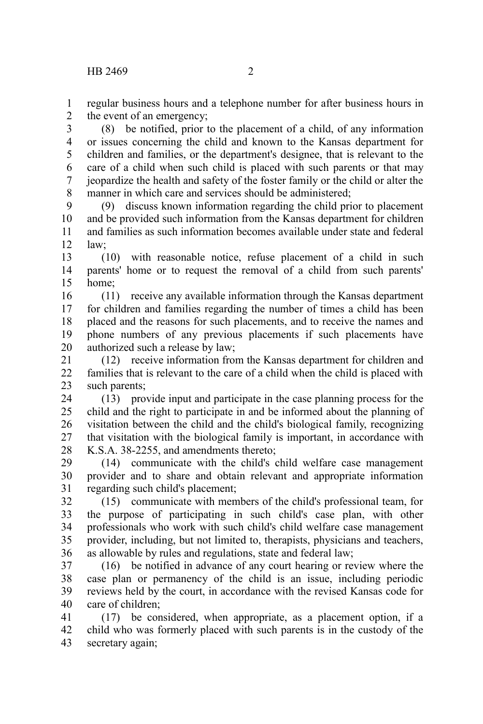regular business hours and a telephone number for after business hours in the event of an emergency; 1 2

(8) be notified, prior to the placement of a child, of any information or issues concerning the child and known to the Kansas department for children and families, or the department's designee, that is relevant to the care of a child when such child is placed with such parents or that may jeopardize the health and safety of the foster family or the child or alter the manner in which care and services should be administered; 3 4 5 6 7 8

(9) discuss known information regarding the child prior to placement and be provided such information from the Kansas department for children and families as such information becomes available under state and federal law; 9 10 11 12

(10) with reasonable notice, refuse placement of a child in such parents' home or to request the removal of a child from such parents' home; 13 14 15

(11) receive any available information through the Kansas department for children and families regarding the number of times a child has been placed and the reasons for such placements, and to receive the names and phone numbers of any previous placements if such placements have authorized such a release by law; 16 17 18 19 20

(12) receive information from the Kansas department for children and families that is relevant to the care of a child when the child is placed with such parents; 21 22 23

(13) provide input and participate in the case planning process for the child and the right to participate in and be informed about the planning of visitation between the child and the child's biological family, recognizing that visitation with the biological family is important, in accordance with K.S.A. 38-2255, and amendments thereto; 24 25 26 27 28

(14) communicate with the child's child welfare case management provider and to share and obtain relevant and appropriate information regarding such child's placement; 29 30 31

(15) communicate with members of the child's professional team, for the purpose of participating in such child's case plan, with other professionals who work with such child's child welfare case management provider, including, but not limited to, therapists, physicians and teachers, as allowable by rules and regulations, state and federal law; 32 33 34 35 36

(16) be notified in advance of any court hearing or review where the case plan or permanency of the child is an issue, including periodic reviews held by the court, in accordance with the revised Kansas code for care of children; 37 38 39 40

(17) be considered, when appropriate, as a placement option, if a child who was formerly placed with such parents is in the custody of the secretary again; 41 42 43